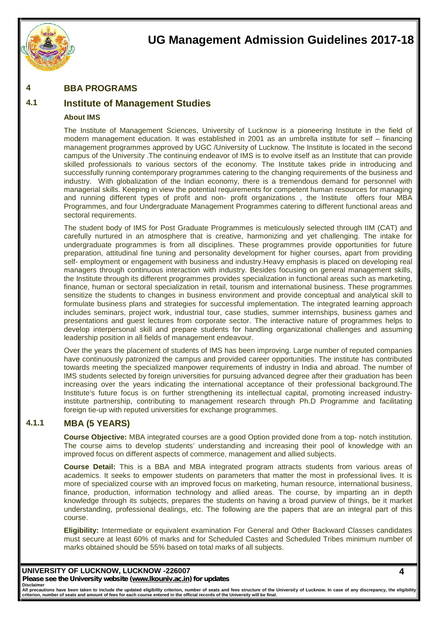

#### **4 BBA PROGRAMS**

## **4.1 Institute of Management Studies**

#### **About IMS**

The Institute of Management Sciences, University of Lucknow is a pioneering Institute in the field of modern management education. It was established in 2001 as an umbrella institute for self – financing management programmes approved by UGC /University of Lucknow. The Institute is located in the second campus of the University .The continuing endeavor of IMS is to evolve itself as an Institute that can provide skilled professionals to various sectors of the economy. The Institute takes pride in introducing and successfully running contemporary programmes catering to the changing requirements of the business and industry. With globalization of the Indian economy, there is a tremendous demand for personnel with managerial skills. Keeping in view the potential requirements for competent human resources for managing and running different types of profit and non- profit organizations , the Institute offers four MBA Programmes, and four Undergraduate Management Programmes catering to different functional areas and sectoral requirements.

The student body of IMS for Post Graduate Programmes is meticulously selected through IIM (CAT) and carefully nurtured in an atmosphere that is creative, harmonizing and yet challenging. The intake for undergraduate programmes is from all disciplines. These programmes provide opportunities for future preparation, attitudinal fine tuning and personality development for higher courses, apart from providing self- employment or engagement with business and industry.Heavy emphasis is placed on developing real managers through continuous interaction with industry. Besides focusing on general management skills, the Institute through its different programmes provides specialization in functional areas such as marketing, finance, human or sectoral specialization in retail, tourism and international business. These programmes sensitize the students to changes in business environment and provide conceptual and analytical skill to formulate business plans and strategies for successful implementation. The integrated learning approach includes seminars, project work, industrial tour, case studies, summer internships, business games and presentations and guest lectures from corporate sector. The interactive nature of programmes helps to develop interpersonal skill and prepare students for handling organizational challenges and assuming leadership position in all fields of management endeavour.

Over the years the placement of students of IMS has been improving. Large number of reputed companies have continuously patronized the campus and provided career opportunities. The institute has contributed towards meeting the specialized manpower requirements of industry in India and abroad. The number of IMS students selected by foreign universities for pursuing advanced degree after their graduation has been increasing over the years indicating the international acceptance of their professional background.The Institute's future focus is on further strengthening its intellectual capital, promoting increased industryinstitute partnership, contributing to management research through Ph.D Programme and facilitating foreign tie-up with reputed universities for exchange programmes.

### **4.1.1 MBA (5 YEARS)**

**Course Objective:** MBA integrated courses are a good Option provided done from a top- notch institution. The course aims to develop students' understanding and increasing their pool of knowledge with an improved focus on different aspects of commerce, management and allied subjects.

**Course Detail:** This is a BBA and MBA integrated program attracts students from various areas of academics. It seeks to empower students on parameters that matter the most in professional lives. It is more of specialized course with an improved focus on marketing, human resource, international business, finance, production, information technology and allied areas. The course, by imparting an in depth knowledge through its subjects, prepares the students on having a broad purview of things, be it market understanding, professional dealings, etc. The following are the papers that are an integral part of this course.

**Eligibility:** Intermediate or equivalent examination For General and Other Backward Classes candidates must secure at least 60% of marks and for Scheduled Castes and Scheduled Tribes minimum number of marks obtained should be 55% based on total marks of all subjects.

## **UNIVERSITY OF LUCKNOW, LUCKNOW -226007**

*Please see the University website (www.lkouniv.ac.in) for updates* **Disclaimer**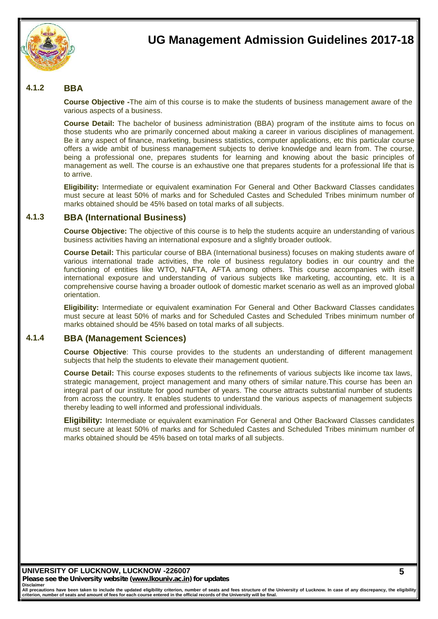

### **4.1.2 BBA**

**Course Objective -**The aim of this course is to make the students of business management aware of the various aspects of a business.

**Course Detail:** The bachelor of business administration (BBA) program of the institute aims to focus on those students who are primarily concerned about making a career in various disciplines of management. Be it any aspect of finance, marketing, business statistics, computer applications, etc this particular course offers a wide ambit of business management subjects to derive knowledge and learn from. The course, being a professional one, prepares students for learning and knowing about the basic principles of management as well. The course is an exhaustive one that prepares students for a professional life that is to arrive.

**Eligibility:** Intermediate or equivalent examination For General and Other Backward Classes candidates must secure at least 50% of marks and for Scheduled Castes and Scheduled Tribes minimum number of marks obtained should be 45% based on total marks of all subjects.

#### **4.1.3 BBA (International Business)**

**Course Objective:** The objective of this course is to help the students acquire an understanding of various business activities having an international exposure and a slightly broader outlook.

**Course Detail:** This particular course of BBA (International business) focuses on making students aware of various international trade activities, the role of business regulatory bodies in our country and the functioning of entities like WTO, NAFTA, AFTA among others. This course accompanies with itself international exposure and understanding of various subjects like marketing, accounting, etc. It is a comprehensive course having a broader outlook of domestic market scenario as well as an improved global orientation.

**Eligibility:** Intermediate or equivalent examination For General and Other Backward Classes candidates must secure at least 50% of marks and for Scheduled Castes and Scheduled Tribes minimum number of marks obtained should be 45% based on total marks of all subjects.

### **4.1.4 BBA (Management Sciences)**

**Course Objective**: This course provides to the students an understanding of different management subjects that help the students to elevate their management quotient.

**Course Detail:** This course exposes students to the refinements of various subjects like income tax laws, strategic management, project management and many others of similar nature.This course has been an integral part of our institute for good number of years. The course attracts substantial number of students from across the country. It enables students to understand the various aspects of management subjects thereby leading to well informed and professional individuals.

**Eligibility:** Intermediate or equivalent examination For General and Other Backward Classes candidates must secure at least 50% of marks and for Scheduled Castes and Scheduled Tribes minimum number of marks obtained should be 45% based on total marks of all subjects.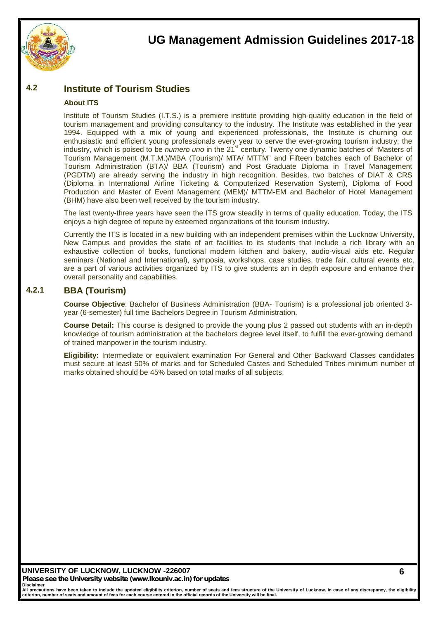

## **4.2 Institute of Tourism Studies**

#### **About ITS**

Institute of Tourism Studies (I.T.S.) is a premiere institute providing high-quality education in the field of tourism management and providing consultancy to the industry. The Institute was established in the year 1994. Equipped with a mix of young and experienced professionals, the Institute is churning out enthusiastic and efficient young professionals every year to serve the ever-growing tourism industry; the industry, which is poised to be *numero uno* in the 21<sup>st</sup> century. Twenty one dynamic batches of "Masters of Tourism Management (M.T.M.)/MBA (Tourism)/ MTA/ MTTM" and Fifteen batches each of Bachelor of Tourism Administration (BTA)/ BBA (Tourism) and Post Graduate Diploma in Travel Management (PGDTM) are already serving the industry in high recognition. Besides, two batches of DIAT & CRS (Diploma in International Airline Ticketing & Computerized Reservation System), Diploma of Food Production and Master of Event Management (MEM)/ MTTM-EM and Bachelor of Hotel Management (BHM) have also been well received by the tourism industry.

The last twenty-three years have seen the ITS grow steadily in terms of quality education. Today, the ITS enjoys a high degree of repute by esteemed organizations of the tourism industry.

Currently the ITS is located in a new building with an independent premises within the Lucknow University, New Campus and provides the state of art facilities to its students that include a rich library with an exhaustive collection of books, functional modern kitchen and bakery, audio-visual aids etc. Regular seminars (National and International), symposia, workshops, case studies, trade fair, cultural events etc. are a part of various activities organized by ITS to give students an in depth exposure and enhance their overall personality and capabilities.

### **4.2.1 BBA (Tourism)**

**Course Objective**: Bachelor of Business Administration (BBA- Tourism) is a professional job oriented 3 year (6-semester) full time Bachelors Degree in Tourism Administration.

**Course Detail:** This course is designed to provide the young plus 2 passed out students with an in-depth knowledge of tourism administration at the bachelors degree level itself, to fulfill the ever-growing demand of trained manpower in the tourism industry.

**Eligibility:** Intermediate or equivalent examination For General and Other Backward Classes candidates must secure at least 50% of marks and for Scheduled Castes and Scheduled Tribes minimum number of marks obtained should be 45% based on total marks of all subjects.